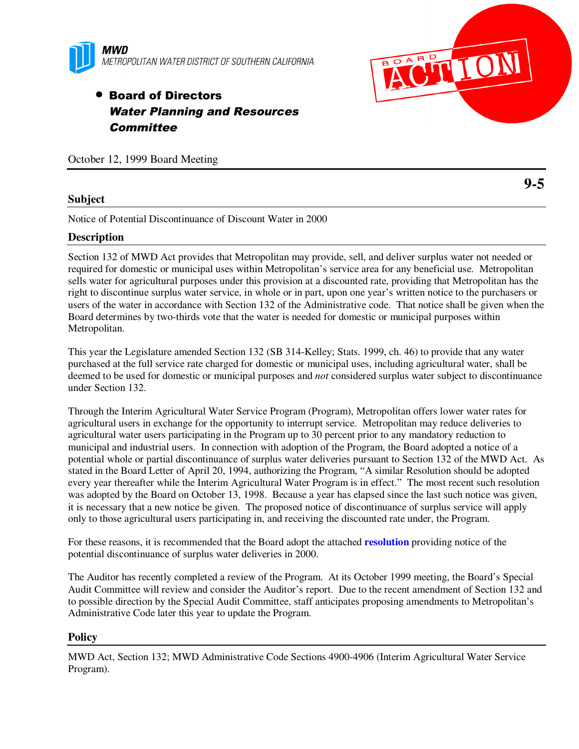

# • Board of Directors Water Planning and Resources **Committee**

October 12, 1999 Board Meeting

## **Subject**

Notice of Potential Discontinuance of Discount Water in 2000

## **Description**

Section 132 of MWD Act provides that Metropolitan may provide, sell, and deliver surplus water not needed or required for domestic or municipal uses within Metropolitan's service area for any beneficial use. Metropolitan sells water for agricultural purposes under this provision at a discounted rate, providing that Metropolitan has the right to discontinue surplus water service, in whole or in part, upon one year's written notice to the purchasers or users of the water in accordance with Section 132 of the Administrative code. That notice shall be given when the Board determines by two-thirds vote that the water is needed for domestic or municipal purposes within Metropolitan.

This year the Legislature amended Section 132 (SB 314-Kelley; Stats. 1999, ch. 46) to provide that any water purchased at the full service rate charged for domestic or municipal uses, including agricultural water, shall be deemed to be used for domestic or municipal purposes and *not* considered surplus water subject to discontinuance under Section 132.

Through the Interim Agricultural Water Service Program (Program), Metropolitan offers lower water rates for agricultural users in exchange for the opportunity to interrupt service. Metropolitan may reduce deliveries to agricultural water users participating in the Program up to 30 percent prior to any mandatory reduction to municipal and industrial users. In connection with adoption of the Program, the Board adopted a notice of a potential whole or partial discontinuance of surplus water deliveries pursuant to Section 132 of the MWD Act. As stated in the Board Letter of April 20, 1994, authorizing the Program, "A similar Resolution should be adopted every year thereafter while the Interim Agricultural Water Program is in effect." The most recent such resolution was adopted by the Board on October 13, 1998. Because a year has elapsed since the last such notice was given, it is necessary that a new notice be given. The proposed notice of discontinuance of surplus service will apply only to those agricultural users participating in, and receiving the discounted rate under, the Program.

For these reasons, it is recommended that the Board adopt the attached **resolution** providing notice of the potential discontinuance of surplus water deliveries in 2000.

The Auditor has recently completed a review of the Program. At its October 1999 meeting, the Board's Special Audit Committee will review and consider the Auditor's report. Due to the recent amendment of Section 132 and to possible direction by the Special Audit Committee, staff anticipates proposing amendments to Metropolitan's Administrative Code later this year to update the Program.

#### **Policy**

MWD Act, Section 132; MWD Administrative Code Sections 4900-4906 (Interim Agricultural Water Service Program).

**9-5**

**CITIC**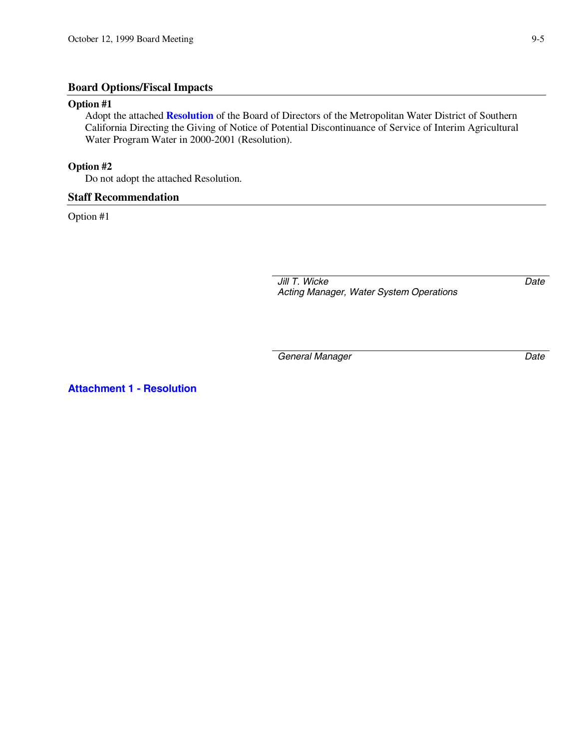## **Board Options/Fiscal Impacts**

#### **Option #1**

Adopt the attached **Resolution** of the Board of Directors of the Metropolitan Water District of Southern California Directing the Giving of Notice of Potential Discontinuance of Service of Interim Agricultural Water Program Water in 2000-2001 (Resolution).

## **Option #2**

Do not adopt the attached Resolution.

#### **Staff Recommendation**

Option #1

*Jill T. Wicke Acting Manager, Water System Operations* *Date*

*General Manager Date*

**Attachment 1 - Resolution**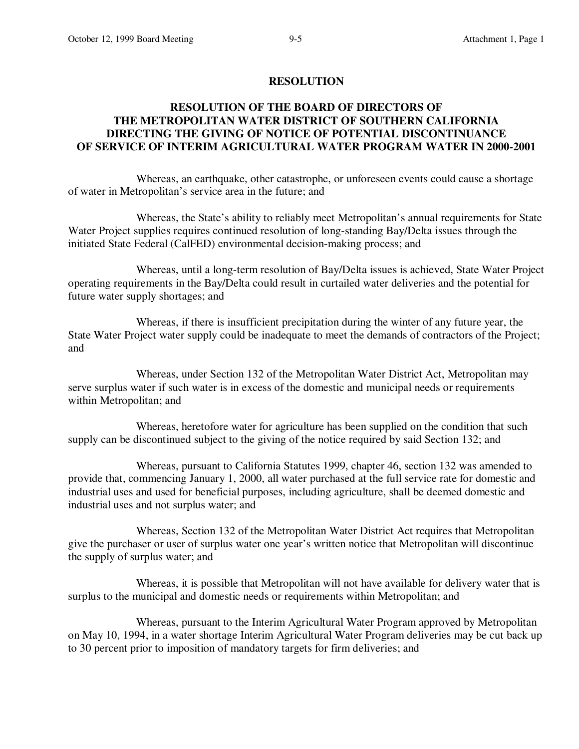#### **RESOLUTION**

# **RESOLUTION OF THE BOARD OF DIRECTORS OF THE METROPOLITAN WATER DISTRICT OF SOUTHERN CALIFORNIA DIRECTING THE GIVING OF NOTICE OF POTENTIAL DISCONTINUANCE OF SERVICE OF INTERIM AGRICULTURAL WATER PROGRAM WATER IN 2000-2001**

Whereas, an earthquake, other catastrophe, or unforeseen events could cause a shortage of water in Metropolitan's service area in the future; and

Whereas, the State's ability to reliably meet Metropolitan's annual requirements for State Water Project supplies requires continued resolution of long-standing Bay/Delta issues through the initiated State Federal (CalFED) environmental decision-making process; and

Whereas, until a long-term resolution of Bay/Delta issues is achieved, State Water Project operating requirements in the Bay/Delta could result in curtailed water deliveries and the potential for future water supply shortages; and

Whereas, if there is insufficient precipitation during the winter of any future year, the State Water Project water supply could be inadequate to meet the demands of contractors of the Project; and

Whereas, under Section 132 of the Metropolitan Water District Act, Metropolitan may serve surplus water if such water is in excess of the domestic and municipal needs or requirements within Metropolitan; and

Whereas, heretofore water for agriculture has been supplied on the condition that such supply can be discontinued subject to the giving of the notice required by said Section 132; and

Whereas, pursuant to California Statutes 1999, chapter 46, section 132 was amended to provide that, commencing January 1, 2000, all water purchased at the full service rate for domestic and industrial uses and used for beneficial purposes, including agriculture, shall be deemed domestic and industrial uses and not surplus water; and

Whereas, Section 132 of the Metropolitan Water District Act requires that Metropolitan give the purchaser or user of surplus water one year's written notice that Metropolitan will discontinue the supply of surplus water; and

Whereas, it is possible that Metropolitan will not have available for delivery water that is surplus to the municipal and domestic needs or requirements within Metropolitan; and

Whereas, pursuant to the Interim Agricultural Water Program approved by Metropolitan on May 10, 1994, in a water shortage Interim Agricultural Water Program deliveries may be cut back up to 30 percent prior to imposition of mandatory targets for firm deliveries; and